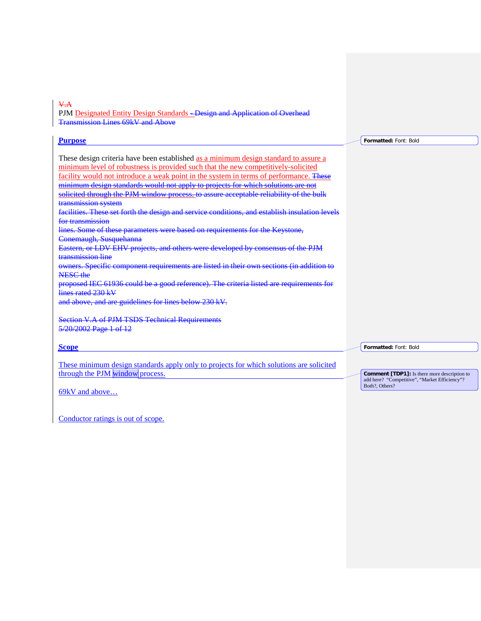V.A

**Purpose**

PJM Designated Entity Design Standards - Design and Application of Overhead Transmission Lines 69kV and Above

**Formatted:** Font: Bold

These design criteria have been established as a minimum design standard to assure a minimum level of robustness is provided such that the new competitively-solicited facility would not introduce a weak point in the system in terms of performance. These minimum design standards would not apply to projects for which solutions are not solicited through the PJM window process, to assure acceptable reliability of the bulk transmission system facilities. These set forth the design and service conditions, and establish insulation levels for transmission lines. Some of these parameters were based on requirements for the Keystone,

Conemaugh, Susquehanna Eastern, or LDV EHV projects, and others were developed by consensus of the PJM

transmission line

owners. Specific component requirements are listed in their own sections (in addition to NESC the

proposed IEC 61936 could be a good reference). The criteria listed are requirements for lines rated 230 kV

and above, and are guidelines for lines below 230 kV.

Section V.A of PJM TSDS Technical Requirements 5/20/2002 Page 1 of 12

**Scope**

These minimum design standards apply only to projects for which solutions are solicited through the PJM window process.

69kV and above…

Conductor ratings is out of scope.

**Formatted:** Font: Bold

**Comment [TDP1]:** Is there more description to add here? "Competitive", "Market Efficiency"? Both?, Others?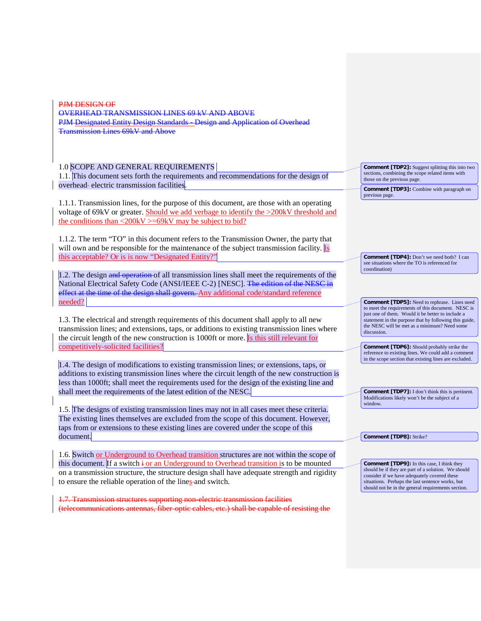PJM DESIGN OF OVERHEAD TRANSMISSION LINES 69 kV AND ABOVE PJM Designated Entity Design Standards - Design and Application of Overhead Transmission Lines 69kV and Above

1.0 SCOPE AND GENERAL REQUIREMENTS

1.1. This document sets forth the requirements and recommendations for the design of overhead-electric transmission facilities.

1.1.1. Transmission lines, for the purpose of this document, are those with an operating voltage of 69kV or greater. Should we add verbage to identify the >200kV threshold and the conditions than  $\langle 200kV \rangle = 69kV$  may be subject to bid?

1.1.2. The term "TO" in this document refers to the Transmission Owner, the party that will own and be responsible for the maintenance of the subject transmission facility. Is this acceptable? Or is is now "Designated Entity?"

1.2. The design and operation of all transmission lines shall meet the requirements of the National Electrical Safety Code (ANSI/IEEE C-2) [NESC]. The edition of the NESC in effect at the time of the design shall govern. Any additional code/standard reference needed?

1.3. The electrical and strength requirements of this document shall apply to all new transmission lines; and extensions, taps, or additions to existing transmission lines where the circuit length of the new construction is 1000ft or more. Is this still relevant for competitively-solicited facilities?

1.4. The design of modifications to existing transmission lines; or extensions, taps, or additions to existing transmission lines where the circuit length of the new construction is less than 1000ft; shall meet the requirements used for the design of the existing line and shall meet the requirements of the latest edition of the NESC.

1.5. The designs of existing transmission lines may not in all cases meet these criteria. The existing lines themselves are excluded from the scope of this document. However, taps from or extensions to these existing lines are covered under the scope of this document.

1.6. Switch or Underground to Overhead transition structures are not within the scope of this document. If a switch  $\frac{1}{2}$  or an Underground to Overhead transition is to be mounted on a transmission structure, the structure design shall have adequate strength and rigidity to ensure the reliable operation of the lines-and switch.

1.7. Transmission structures supporting non-electric transmission facilities (telecommunications antennas, fiber-optic cables, etc.) shall be capable of resisting the **Comment [TDP2]:** Suggest splitting this into two sections, combining the scope related items with those on the previous page.

**Comment [TDP3]:** Combine with paragraph on previous page.

**Comment [TDP4]:** Don't we need both? I can see situations where the TO is referenced for coordination)

**Comment [TDP5]:** Need to rephrase. Lines need to meet the requirements of this document. NESC is just one of them. Would it be better to include a statement in the purpose that by following this guide, the NESC will be met as a minimum? Need some discussion.

**Comment [TDP6]:** Should probably strike the reference to existing lines. We could add a comment in the scope section that existing lines are excluded.

**Comment [TDP7]:** I don't think this is pertinent. Modifications likely won't be the subject of a window.

**Comment [TDP8]:** Strike?

**Comment [TDP9]:** In this case, I think they should be if they are part of a solution. We should consider if we have adequately covered these situations. Perhaps the last sentence works, but should not be in the general requirements section.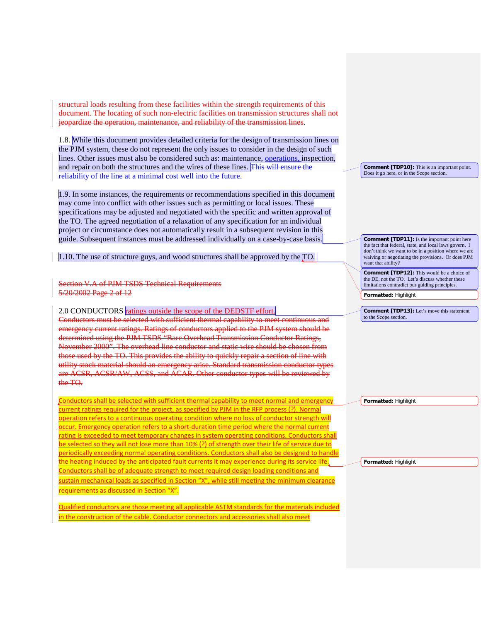structural loads resulting from these facilities within the strength requirements of this document. The locating of such non-electric facilities on transmission structures shall not opardize the operation, maintenance, and reliability of the transmission lines.

1.8. While this document provides detailed criteria for the design of transmission lines on the PJM system, these do not represent the only issues to consider in the design of such lines. Other issues must also be considered such as: maintenance, operations, inspection, and repair on both the structures and the wires of these lines. This will ensure the reliability of the line at a minimal cost well into the future.

1.9. In some instances, the requirements or recommendations specified in this document may come into conflict with other issues such as permitting or local issues. These specifications may be adjusted and negotiated with the specific and written approval of the TO. The agreed negotiation of a relaxation of any specification for an individual project or circumstance does not automatically result in a subsequent revision in this guide. Subsequent instances must be addressed individually on a case-by-case basis.

1.10. The use of structure guys, and wood structures shall be approved by the TO.

Section V.A of PJM TSDS Technical Requirements 5/20/2002 Page 2 of 12

2.0 CONDUCTORS ratings outside the scope of the DEDSTF effort.

Conductors must be selected with sufficient thermal capability to emergency current ratings. Ratings of conductors applied to the PJM system should be determined using the PJM TSDS "Bare Overhead Transmission Conductor Ratings, November 2000". The overhead line conductor and static wire should be chosen from those used by the TO. This provides the ability to quickly repair a section of line with utility stock material should an emergency arise. Standard transmission conductor types are ACSR, ACSR/AW, ACSS, and ACAR. Other conductor types will be reviewed by the TO.

Conductors shall be selected with sufficient thermal capability to meet normal and emergency current ratings required for the project, as specified by PJM in the RFP process (?). Normal operation refers to a continuous operating condition where no loss of conductor strength will occur. Emergency operation refers to a short-duration time period where the normal current rating is exceeded to meet temporary changes in system operating conditions. Conductors shall be selected so they will not lose more than 10% (?) of strength over their life of service due to periodically exceeding normal operating conditions. Conductors shall also be designed to handle the heating induced by the anticipated fault currents it may experience during its service life. Conductors shall be of adequate strength to meet required design loading conditions and sustain mechanical loads as specified in Section "X", while still meeting the minimum clearance requirements as discussed in Section "X".

Qualified conductors are those meeting all applicable ASTM standards for the materials included n the construction of the cable. Conductor connectors and accessories shall also meet

**Comment [TDP10]:** This is an important point. Does it go here, or in the Scope section.

**Comment [TDP11]:** Is the important point here the fact that federal, state, and local laws govern. I don't think we want to be in a position where we are waiving or negotiating the provisions. Or does PJM want that ability?

**Comment [TDP12]:** This would be a choice of the DE, not the TO. Let's discuss whether these limitations contradict our guiding principles.

**Formatted:** Highlight

**Comment [TDP13]:** Let's move this statement to the Scope section.

**Formatted:** Highlight

**Formatted:** Highlight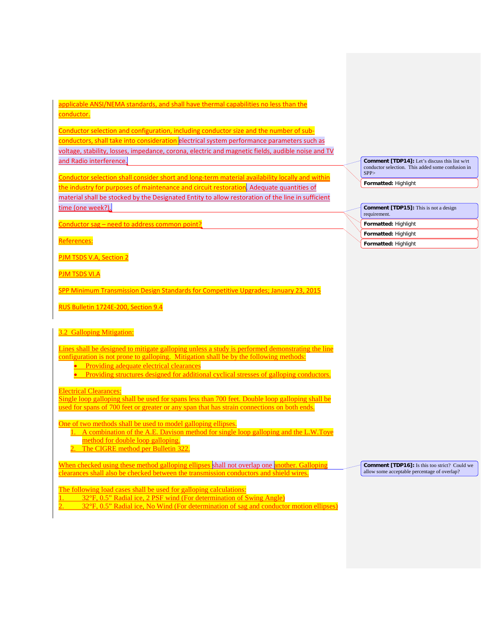# applicable ANSI/NEMA standards, and shall have thermal capabilities no less than the conductor.

Conductor selection and configuration, including conductor size and the number of subconductors, shall take into consideration electrical system performance parameters such as voltage, stability, losses, impedance, corona, electric and magnetic fields, audible noise and TV and Radio interference.

Conductor selection shall consider short and long-term material availability locally and within the industry for purposes of maintenance and circuit restoration. Adequate quantities of material shall be stocked by the Designated Entity to allow restoration of the line in sufficient time (one week?).

Conductor sag - need to address common point?

References:

PJM TSDS V.A, Section 2

PJM TSDS VI.A

SPP Minimum Transmission Design Standards for Competitive Upgrades; January 23, 2015

RUS Bulletin 1724E-200, Section 9.4

## 3.2 Galloping Mitigation:

Lines shall be designed to mitigate galloping unless a study is performed demonstrating the line configuration is not prone to galloping. Mitigation shall be by the following methods:

- Providing adequate electrical clearances
- Providing structures designed for additional cyclical stresses of galloping conductors.

Electrical Clearances:

Single loop galloping shall be used for spans less than 700 feet. Double loop galloping shall be used for spans of 700 feet or greater or any span that has strain connections on both ends.

One of two methods shall be used to model galloping ellipses.

- 1. A combination of the A.E. Davison method for single loop galloping and the L.W.Toye method for double loop galloping.
- 2. The CIGRE method per Bulletin 322.

When checked using these method galloping ellipses shall not overlap one another. Galloping clearances shall also be checked between the transmission conductors and shield wires.

The following load cases shall be used for galloping calculations:

1. 32°F, 0.5" Radial ice, 2 PSF wind (For determination of Swing Angle)

32°F, 0.5" Radial ice, No Wind (For determination of sag and conductor motion ellipses)

**Comment [TDP14]:** Let's discuss this list w/rt conductor selection. This added some confusion in  $SPP<sub>2</sub>$ 

**Formatted:** Highlight

**Comment [TDP15]:** This is not a design requirement

**Formatted:** Highlight

**Formatted:** Highlight

**Formatted:** Highlight

**Comment [TDP16]:** Is this too strict? Could we allow some acceptable percentage of overlap?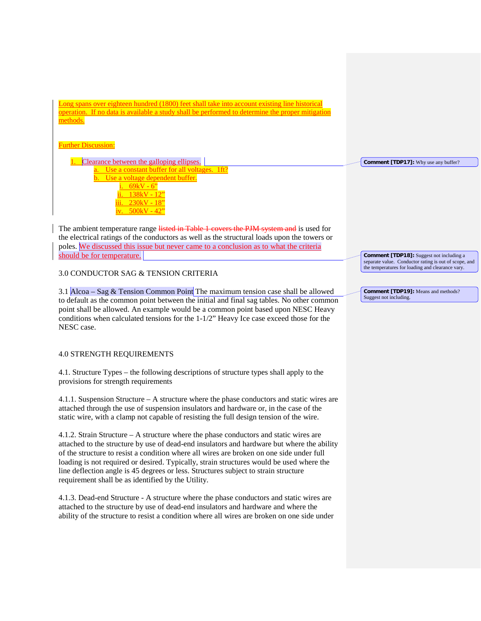Long spans over eighteen hundred (1800) feet shall take into account existing line historical operation. If no data is available a study shall be performed to determine the proper mitigation methods.

# **Further Discussion:**

1. Clearance between the galloping ellipses. Use a constant buffer for all voltages. 1ft Use a voltage dependent buffer.  $69kV - 6"$  $138kV - 12"$ 230kV - 18"  $500kV - 42"$ 

The ambient temperature range listed in Table 1 covers the PJM system and is used for the electrical ratings of the conductors as well as the structural loads upon the towers or poles. We discussed this issue but never came to a conclusion as to what the criteria should be for temperature.

# 3.0 CONDUCTOR SAG & TENSION CRITERIA

3.1 Alcoa – Sag & Tension Common Point The maximum tension case shall be allowed to default as the common point between the initial and final sag tables. No other common point shall be allowed. An example would be a common point based upon NESC Heavy conditions when calculated tensions for the 1-1/2" Heavy Ice case exceed those for the NESC case.

## 4.0 STRENGTH REQUIREMENTS

4.1. Structure Types – the following descriptions of structure types shall apply to the provisions for strength requirements

4.1.1. Suspension Structure – A structure where the phase conductors and static wires are attached through the use of suspension insulators and hardware or, in the case of the static wire, with a clamp not capable of resisting the full design tension of the wire.

4.1.2. Strain Structure – A structure where the phase conductors and static wires are attached to the structure by use of dead-end insulators and hardware but where the ability of the structure to resist a condition where all wires are broken on one side under full loading is not required or desired. Typically, strain structures would be used where the line deflection angle is 45 degrees or less. Structures subject to strain structure requirement shall be as identified by the Utility.

4.1.3. Dead-end Structure - A structure where the phase conductors and static wires are attached to the structure by use of dead-end insulators and hardware and where the ability of the structure to resist a condition where all wires are broken on one side under **Comment [TDP18]:** Suggest not including a separate value. Conductor rating is out of scope, and the temperatures for loading and clearance vary.

**Comment [TDP17]:** Why use any buffer?

**Comment [TDP19]:** Means and methods? Suggest not including.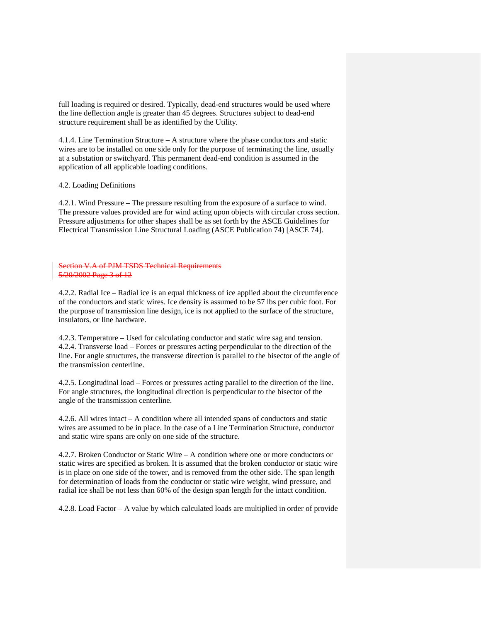full loading is required or desired. Typically, dead-end structures would be used where the line deflection angle is greater than 45 degrees. Structures subject to dead-end structure requirement shall be as identified by the Utility.

4.1.4. Line Termination Structure – A structure where the phase conductors and static wires are to be installed on one side only for the purpose of terminating the line, usually at a substation or switchyard. This permanent dead-end condition is assumed in the application of all applicable loading conditions.

## 4.2. Loading Definitions

4.2.1. Wind Pressure – The pressure resulting from the exposure of a surface to wind. The pressure values provided are for wind acting upon objects with circular cross section. Pressure adjustments for other shapes shall be as set forth by the ASCE Guidelines for Electrical Transmission Line Structural Loading (ASCE Publication 74) [ASCE 74].

#### Section V.A of PJM TSDS Technical Requirements 5/20/2002 Page 3 of 12

4.2.2. Radial Ice – Radial ice is an equal thickness of ice applied about the circumference of the conductors and static wires. Ice density is assumed to be 57 lbs per cubic foot. For the purpose of transmission line design, ice is not applied to the surface of the structure, insulators, or line hardware.

4.2.3. Temperature – Used for calculating conductor and static wire sag and tension. 4.2.4. Transverse load – Forces or pressures acting perpendicular to the direction of the line. For angle structures, the transverse direction is parallel to the bisector of the angle of the transmission centerline.

4.2.5. Longitudinal load – Forces or pressures acting parallel to the direction of the line. For angle structures, the longitudinal direction is perpendicular to the bisector of the angle of the transmission centerline.

4.2.6. All wires intact – A condition where all intended spans of conductors and static wires are assumed to be in place. In the case of a Line Termination Structure, conductor and static wire spans are only on one side of the structure.

4.2.7. Broken Conductor or Static Wire – A condition where one or more conductors or static wires are specified as broken. It is assumed that the broken conductor or static wire is in place on one side of the tower, and is removed from the other side. The span length for determination of loads from the conductor or static wire weight, wind pressure, and radial ice shall be not less than 60% of the design span length for the intact condition.

4.2.8. Load Factor – A value by which calculated loads are multiplied in order of provide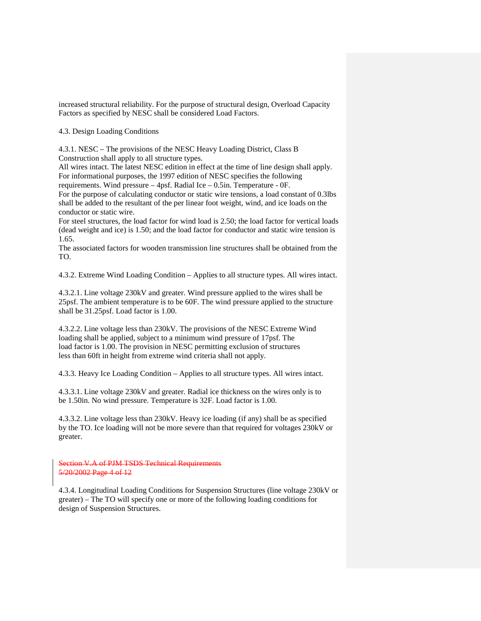increased structural reliability. For the purpose of structural design, Overload Capacity Factors as specified by NESC shall be considered Load Factors.

4.3. Design Loading Conditions

4.3.1. NESC – The provisions of the NESC Heavy Loading District, Class B Construction shall apply to all structure types.

All wires intact. The latest NESC edition in effect at the time of line design shall apply. For informational purposes, the 1997 edition of NESC specifies the following

requirements. Wind pressure – 4psf. Radial Ice – 0.5in. Temperature - 0F.

For the purpose of calculating conductor or static wire tensions, a load constant of 0.3lbs shall be added to the resultant of the per linear foot weight, wind, and ice loads on the conductor or static wire.

For steel structures, the load factor for wind load is 2.50; the load factor for vertical loads (dead weight and ice) is 1.50; and the load factor for conductor and static wire tension is 1.65.

The associated factors for wooden transmission line structures shall be obtained from the TO.

4.3.2. Extreme Wind Loading Condition – Applies to all structure types. All wires intact.

4.3.2.1. Line voltage 230kV and greater. Wind pressure applied to the wires shall be 25psf. The ambient temperature is to be 60F. The wind pressure applied to the structure shall be 31.25psf. Load factor is 1.00.

4.3.2.2. Line voltage less than 230kV. The provisions of the NESC Extreme Wind loading shall be applied, subject to a minimum wind pressure of 17psf. The load factor is 1.00. The provision in NESC permitting exclusion of structures less than 60ft in height from extreme wind criteria shall not apply.

4.3.3. Heavy Ice Loading Condition – Applies to all structure types. All wires intact.

4.3.3.1. Line voltage 230kV and greater. Radial ice thickness on the wires only is to be 1.50in. No wind pressure. Temperature is 32F. Load factor is 1.00.

4.3.3.2. Line voltage less than 230kV. Heavy ice loading (if any) shall be as specified by the TO. Ice loading will not be more severe than that required for voltages 230kV or greater.

Section V.A of PJM TSDS Technical Requirements 5/20/2002 Page 4 of 12

4.3.4. Longitudinal Loading Conditions for Suspension Structures (line voltage 230kV or greater) – The TO will specify one or more of the following loading conditions for design of Suspension Structures.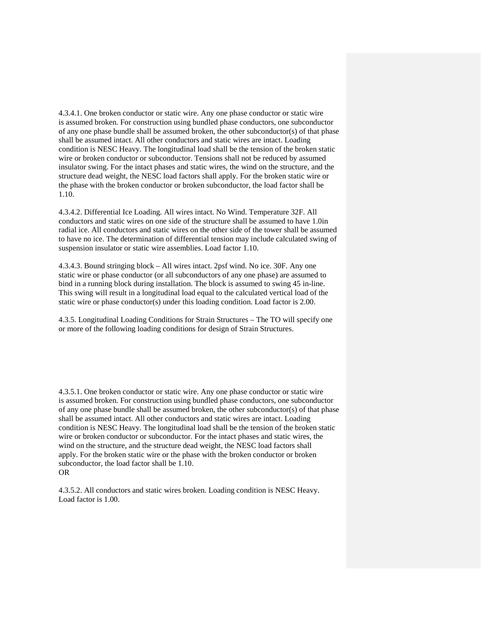4.3.4.1. One broken conductor or static wire. Any one phase conductor or static wire is assumed broken. For construction using bundled phase conductors, one subconductor of any one phase bundle shall be assumed broken, the other subconductor(s) of that phase shall be assumed intact. All other conductors and static wires are intact. Loading condition is NESC Heavy. The longitudinal load shall be the tension of the broken static wire or broken conductor or subconductor. Tensions shall not be reduced by assumed insulator swing. For the intact phases and static wires, the wind on the structure, and the structure dead weight, the NESC load factors shall apply. For the broken static wire or the phase with the broken conductor or broken subconductor, the load factor shall be 1.10.

4.3.4.2. Differential Ice Loading. All wires intact. No Wind. Temperature 32F. All conductors and static wires on one side of the structure shall be assumed to have 1.0in radial ice. All conductors and static wires on the other side of the tower shall be assumed to have no ice. The determination of differential tension may include calculated swing of suspension insulator or static wire assemblies. Load factor 1.10.

4.3.4.3. Bound stringing block – All wires intact. 2psf wind. No ice. 30F. Any one static wire or phase conductor (or all subconductors of any one phase) are assumed to bind in a running block during installation. The block is assumed to swing 45 in-line. This swing will result in a longitudinal load equal to the calculated vertical load of the static wire or phase conductor(s) under this loading condition. Load factor is 2.00.

4.3.5. Longitudinal Loading Conditions for Strain Structures – The TO will specify one or more of the following loading conditions for design of Strain Structures.

4.3.5.1. One broken conductor or static wire. Any one phase conductor or static wire is assumed broken. For construction using bundled phase conductors, one subconductor of any one phase bundle shall be assumed broken, the other subconductor(s) of that phase shall be assumed intact. All other conductors and static wires are intact. Loading condition is NESC Heavy. The longitudinal load shall be the tension of the broken static wire or broken conductor or subconductor. For the intact phases and static wires, the wind on the structure, and the structure dead weight, the NESC load factors shall apply. For the broken static wire or the phase with the broken conductor or broken subconductor, the load factor shall be 1.10. OR

4.3.5.2. All conductors and static wires broken. Loading condition is NESC Heavy. Load factor is 1.00.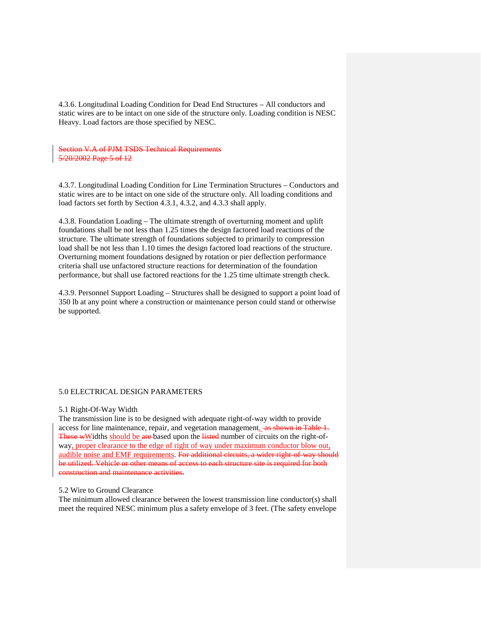4.3.6. Longitudinal Loading Condition for Dead End Structures – All conductors and static wires are to be intact on one side of the structure only. Loading condition is NESC Heavy. Load factors are those specified by NESC.

Section V.A of PJM TSDS Technical Requirements 5/20/2002 Page 5 of 12

4.3.7. Longitudinal Loading Condition for Line Termination Structures – Conductors and static wires are to be intact on one side of the structure only. All loading conditions and load factors set forth by Section 4.3.1, 4.3.2, and 4.3.3 shall apply.

4.3.8. Foundation Loading – The ultimate strength of overturning moment and uplift foundations shall be not less than 1.25 times the design factored load reactions of the structure. The ultimate strength of foundations subjected to primarily to compression load shall be not less than 1.10 times the design factored load reactions of the structure. Overturning moment foundations designed by rotation or pier deflection performance criteria shall use unfactored structure reactions for determination of the foundation performance, but shall use factored reactions for the 1.25 time ultimate strength check.

4.3.9. Personnel Support Loading – Structures shall be designed to support a point load of 350 lb at any point where a construction or maintenance person could stand or otherwise be supported.

#### 5.0 ELECTRICAL DESIGN PARAMETERS

#### 5.1 Right-Of-Way Width

The transmission line is to be designed with adequate right-of-way width to provide access for line maintenance, repair, and vegetation management. as shown in Table 1. These wWidths should be are based upon the listed number of circuits on the right-ofway, proper clearance to the edge of right of way under maximum conductor blow out, audible noise and EMF requirements. For additional circuits, a wider right-of-way should be utilized. Vehicle or other means of access to each structure site is required for both construction and maintenance activities.

### 5.2 Wire to Ground Clearance

The minimum allowed clearance between the lowest transmission line conductor(s) shall meet the required NESC minimum plus a safety envelope of 3 feet. (The safety envelope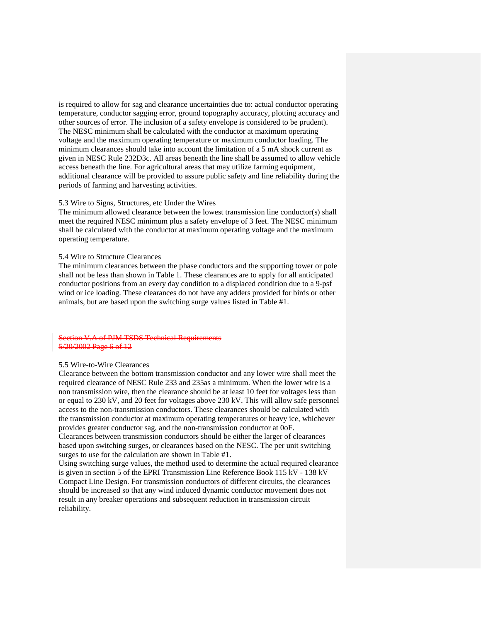is required to allow for sag and clearance uncertainties due to: actual conductor operating temperature, conductor sagging error, ground topography accuracy, plotting accuracy and other sources of error. The inclusion of a safety envelope is considered to be prudent). The NESC minimum shall be calculated with the conductor at maximum operating voltage and the maximum operating temperature or maximum conductor loading. The minimum clearances should take into account the limitation of a 5 mA shock current as given in NESC Rule 232D3c. All areas beneath the line shall be assumed to allow vehicle access beneath the line. For agricultural areas that may utilize farming equipment, additional clearance will be provided to assure public safety and line reliability during the periods of farming and harvesting activities.

## 5.3 Wire to Signs, Structures, etc Under the Wires

The minimum allowed clearance between the lowest transmission line conductor(s) shall meet the required NESC minimum plus a safety envelope of 3 feet. The NESC minimum shall be calculated with the conductor at maximum operating voltage and the maximum operating temperature.

#### 5.4 Wire to Structure Clearances

The minimum clearances between the phase conductors and the supporting tower or pole shall not be less than shown in Table 1. These clearances are to apply for all anticipated conductor positions from an every day condition to a displaced condition due to a 9-psf wind or ice loading. These clearances do not have any adders provided for birds or other animals, but are based upon the switching surge values listed in Table #1.

#### Section V.A of PJM TSDS Technical Requirements 5/20/2002 Page 6 of 12

## 5.5 Wire-to-Wire Clearances

Clearance between the bottom transmission conductor and any lower wire shall meet the required clearance of NESC Rule 233 and 235as a minimum. When the lower wire is a non transmission wire, then the clearance should be at least 10 feet for voltages less than or equal to 230 kV, and 20 feet for voltages above 230 kV. This will allow safe personnel access to the non-transmission conductors. These clearances should be calculated with the transmission conductor at maximum operating temperatures or heavy ice, whichever provides greater conductor sag, and the non-transmission conductor at 0oF. Clearances between transmission conductors should be either the larger of clearances based upon switching surges, or clearances based on the NESC. The per unit switching surges to use for the calculation are shown in Table #1.

Using switching surge values, the method used to determine the actual required clearance is given in section 5 of the EPRI Transmission Line Reference Book 115 kV - 138 kV Compact Line Design. For transmission conductors of different circuits, the clearances should be increased so that any wind induced dynamic conductor movement does not result in any breaker operations and subsequent reduction in transmission circuit reliability.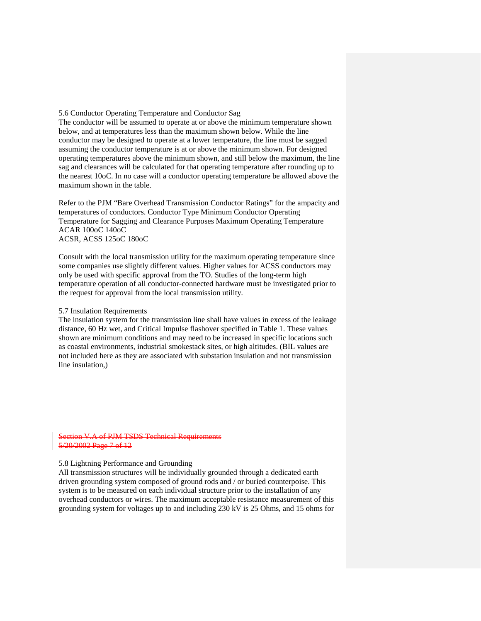#### 5.6 Conductor Operating Temperature and Conductor Sag

The conductor will be assumed to operate at or above the minimum temperature shown below, and at temperatures less than the maximum shown below. While the line conductor may be designed to operate at a lower temperature, the line must be sagged assuming the conductor temperature is at or above the minimum shown. For designed operating temperatures above the minimum shown, and still below the maximum, the line sag and clearances will be calculated for that operating temperature after rounding up to the nearest 10oC. In no case will a conductor operating temperature be allowed above the maximum shown in the table.

Refer to the PJM "Bare Overhead Transmission Conductor Ratings" for the ampacity and temperatures of conductors. Conductor Type Minimum Conductor Operating Temperature for Sagging and Clearance Purposes Maximum Operating Temperature ACAR 100oC 140oC ACSR, ACSS 125oC 180oC

Consult with the local transmission utility for the maximum operating temperature since some companies use slightly different values. Higher values for ACSS conductors may only be used with specific approval from the TO. Studies of the long-term high temperature operation of all conductor-connected hardware must be investigated prior to the request for approval from the local transmission utility.

## 5.7 Insulation Requirements

The insulation system for the transmission line shall have values in excess of the leakage distance, 60 Hz wet, and Critical Impulse flashover specified in Table 1. These values shown are minimum conditions and may need to be increased in specific locations such as coastal environments, industrial smokestack sites, or high altitudes. (BIL values are not included here as they are associated with substation insulation and not transmission line insulation,)

Section V.A of PJM TSDS Technical Requirements 5/20/2002 Page 7 of 12

#### 5.8 Lightning Performance and Grounding

All transmission structures will be individually grounded through a dedicated earth driven grounding system composed of ground rods and / or buried counterpoise. This system is to be measured on each individual structure prior to the installation of any overhead conductors or wires. The maximum acceptable resistance measurement of this grounding system for voltages up to and including 230 kV is 25 Ohms, and 15 ohms for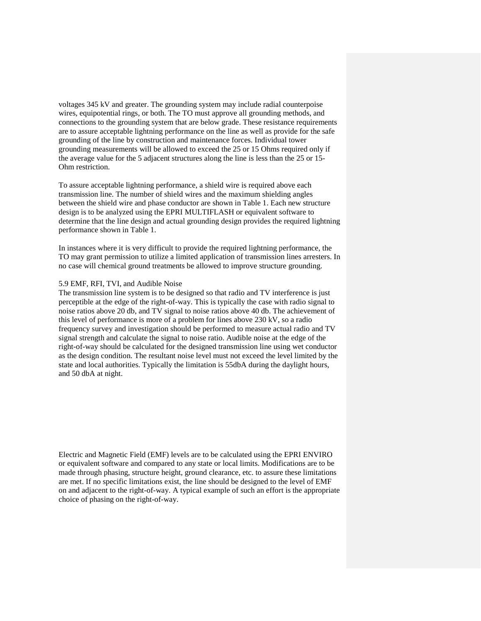voltages 345 kV and greater. The grounding system may include radial counterpoise wires, equipotential rings, or both. The TO must approve all grounding methods, and connections to the grounding system that are below grade. These resistance requirements are to assure acceptable lightning performance on the line as well as provide for the safe grounding of the line by construction and maintenance forces. Individual tower grounding measurements will be allowed to exceed the 25 or 15 Ohms required only if the average value for the 5 adjacent structures along the line is less than the 25 or 15- Ohm restriction.

To assure acceptable lightning performance, a shield wire is required above each transmission line. The number of shield wires and the maximum shielding angles between the shield wire and phase conductor are shown in Table 1. Each new structure design is to be analyzed using the EPRI MULTIFLASH or equivalent software to determine that the line design and actual grounding design provides the required lightning performance shown in Table 1.

In instances where it is very difficult to provide the required lightning performance, the TO may grant permission to utilize a limited application of transmission lines arresters. In no case will chemical ground treatments be allowed to improve structure grounding.

## 5.9 EMF, RFI, TVI, and Audible Noise

The transmission line system is to be designed so that radio and TV interference is just perceptible at the edge of the right-of-way. This is typically the case with radio signal to noise ratios above 20 db, and TV signal to noise ratios above 40 db. The achievement of this level of performance is more of a problem for lines above 230 kV, so a radio frequency survey and investigation should be performed to measure actual radio and TV signal strength and calculate the signal to noise ratio. Audible noise at the edge of the right-of-way should be calculated for the designed transmission line using wet conductor as the design condition. The resultant noise level must not exceed the level limited by the state and local authorities. Typically the limitation is 55dbA during the daylight hours, and 50 dbA at night.

Electric and Magnetic Field (EMF) levels are to be calculated using the EPRI ENVIRO or equivalent software and compared to any state or local limits. Modifications are to be made through phasing, structure height, ground clearance, etc. to assure these limitations are met. If no specific limitations exist, the line should be designed to the level of EMF on and adjacent to the right-of-way. A typical example of such an effort is the appropriate choice of phasing on the right-of-way.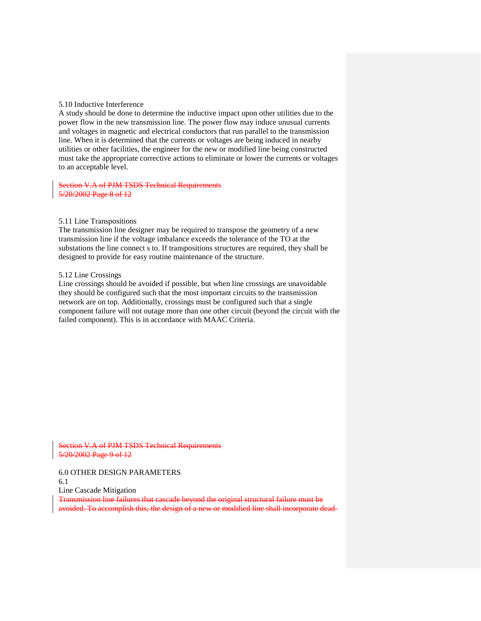## 5.10 Inductive Interference

A study should be done to determine the inductive impact upon other utilities due to the power flow in the new transmission line. The power flow may induce unusual currents and voltages in magnetic and electrical conductors that run parallel to the transmission line. When it is determined that the currents or voltages are being induced in nearby utilities or other facilities, the engineer for the new or modified line being constructed must take the appropriate corrective actions to eliminate or lower the currents or voltages to an acceptable level.

Section V.A of PJM TSDS Technical Requirements 5/20/2002 Page 8 of 12

#### 5.11 Line Transpositions

The transmission line designer may be required to transpose the geometry of a new transmission line if the voltage imbalance exceeds the tolerance of the TO at the substations the line connect s to. If transpositions structures are required, they shall be designed to provide for easy routine maintenance of the structure.

#### 5.12 Line Crossings

Line crossings should be avoided if possible, but when line crossings are unavoidable they should be configured such that the most important circuits to the transmission network are on top. Additionally, crossings must be configured such that a single component failure will not outage more than one other circuit (beyond the circuit with the failed component). This is in accordance with MAAC Criteria.

Section V.A of PJM TSDS Technical Requirements 5/20/2002 Page 9 of 12

6.0 OTHER DESIGN PARAMETERS 6.1

Line Cascade Mitigation

Transmission line failures that cascade beyond the original structural failure must be avoided. To accomplish this, the design of a new or modified line shall incorporate dead